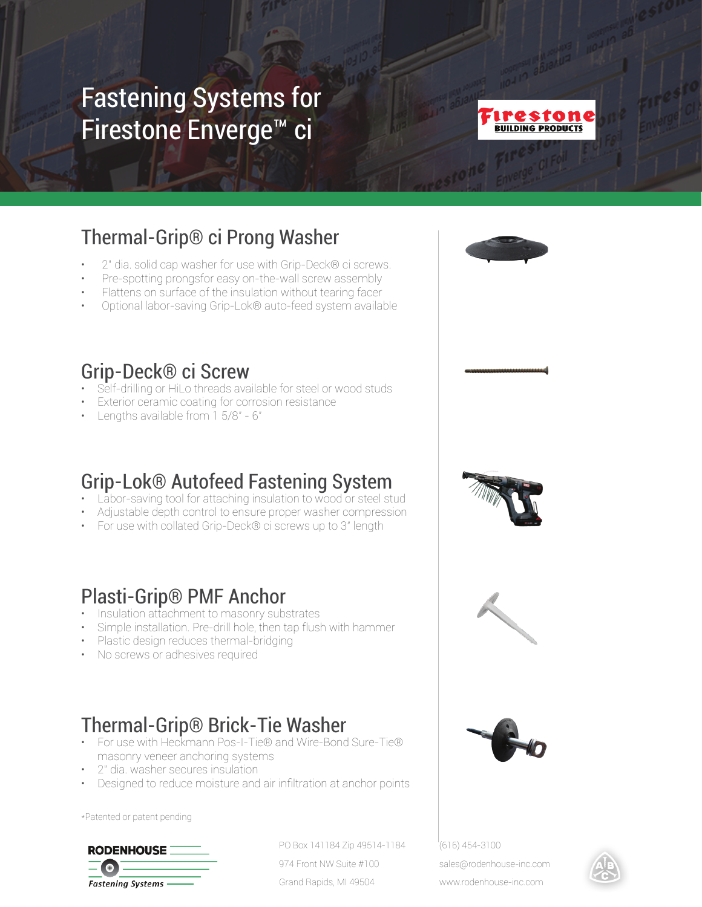# Fastening Systems for Firestone Enverge™ ci



## Thermal-Grip® ci Prong Washer

- 2" dia. solid cap washer for use with Grip-Deck® ci screws.
- Pre-spotting prongsfor easy on-the-wall screw assembly
- Flattens on surface of the insulation without tearing facer
- Optional labor-saving Grip-Lok® auto-feed system available

#### Grip-Deck® ci Screw

- Self-drilling or HiLo threads available for steel or wood studs
- **Exterior ceramic coating for corrosion resistance**
- Lengths available from 1 5/8" 6"

### Grip-Lok® Autofeed Fastening System

- **Labor-saving tool for attaching insulation to wood or steel stud**
- Adjustable depth control to ensure proper washer compression
- For use with collated Grip-Deck® ci screws up to 3" length

#### Plasti-Grip® PMF Anchor

- Insulation attachment to masonry substrates
- Simple installation. Pre-drill hole, then tap flush with hammer
- Plastic design reduces thermal-bridging
- No screws or adhesives required

### Thermal-Grip® Brick-Tie Washer

- For use with Heckmann Pos-I-Tie® and Wire-Bond Sure-Tie® masonry veneer anchoring systems
- 2" dia. washer secures insulation
- Designed to reduce moisture and air infiltration at anchor points

\*Patented or patent pending



PO Box 141184 Zip 49514-1184 974 Front NW Suite #100 Grand Rapids, MI 49504

(616) 454-3100 sales@rodenhouse-inc.com



www.rodenhouse-inc.com